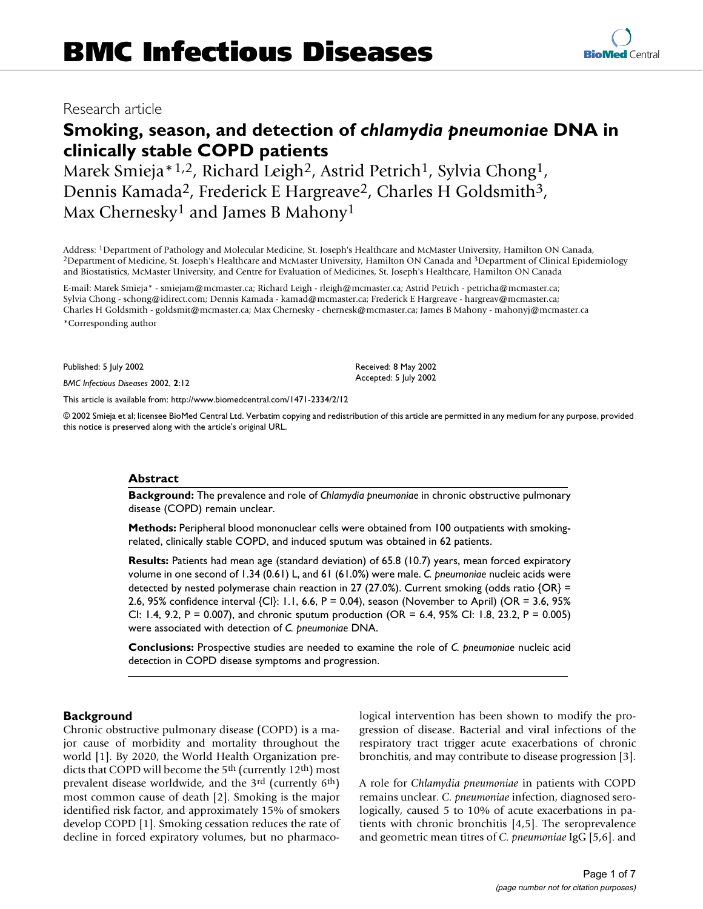# **Smoking, season, and detection of** *chlamydia pneumoniae* **DNA in clinically stable COPD patients**

Marek Smieja\*<sup>1,2</sup>, Richard Leigh<sup>2</sup>, Astrid Petrich<sup>1</sup>, Sylvia Chong<sup>1</sup>, Dennis Kamada<sup>2</sup>, Frederick E Hargreave<sup>2</sup>, Charles H Goldsmith<sup>3</sup>, Max Chernesky<sup>1</sup> and James B Mahony<sup>1</sup>

Address: <sup>1</sup>Department of Pathology and Molecular Medicine, St. Joseph's Healthcare and McMaster University, Hamilton ON Canada,<br><sup>2</sup>Department of Medicine, St. Joseph's Healthcare and McMaster University, Hamilton ON Canad and Biostatistics, McMaster University, and Centre for Evaluation of Medicines, St. Joseph's Healthcare, Hamilton ON Canada

E-mail: Marek Smieja\* - smiejam@mcmaster.ca; Richard Leigh - rleigh@mcmaster.ca; Astrid Petrich - petricha@mcmaster.ca; Sylvia Chong - schong@idirect.com; Dennis Kamada - kamad@mcmaster.ca; Frederick E Hargreave - hargreav@mcmaster.ca; Charles H Goldsmith - goldsmit@mcmaster.ca; Max Chernesky - chernesk@mcmaster.ca; James B Mahony - mahonyj@mcmaster.ca \*Corresponding author

Published: 5 July 2002

*BMC Infectious Diseases* 2002, **2**:12

[This article is available from: http://www.biomedcentral.com/1471-2334/2/12](http://www.biomedcentral.com/1471-2334/2/12)

© 2002 Smieja et al; licensee BioMed Central Ltd. Verbatim copying and redistribution of this article are permitted in any medium for any purpose, provided this notice is preserved along with the article's original URL.

#### **Abstract**

**Background:** The prevalence and role of *Chlamydia pneumoniae* in chronic obstructive pulmonary disease (COPD) remain unclear.

**Methods:** Peripheral blood mononuclear cells were obtained from 100 outpatients with smokingrelated, clinically stable COPD, and induced sputum was obtained in 62 patients.

**Results:** Patients had mean age (standard deviation) of 65.8 (10.7) years, mean forced expiratory volume in one second of 1.34 (0.61) L, and 61 (61.0%) were male. *C. pneumoniae* nucleic acids were detected by nested polymerase chain reaction in 27 (27.0%). Current smoking (odds ratio {OR} = 2.6, 95% confidence interval {CI}: 1.1, 6.6, P = 0.04), season (November to April) (OR = 3.6, 95% CI: 1.4, 9.2, P = 0.007), and chronic sputum production (OR = 6.4, 95% CI: 1.8, 23.2, P = 0.005) were associated with detection of *C. pneumoniae* DNA.

**Conclusions:** Prospective studies are needed to examine the role of *C. pneumoniae* nucleic acid detection in COPD disease symptoms and progression.

## **Background**

Chronic obstructive pulmonary disease (COPD) is a major cause of morbidity and mortality throughout the world [1]. By 2020, the World Health Organization predicts that COPD will become the 5<sup>th</sup> (currently 12<sup>th</sup>) most prevalent disease worldwide, and the 3rd (currently 6th) most common cause of death [2]. Smoking is the major identified risk factor, and approximately 15% of smokers develop COPD [1]. Smoking cessation reduces the rate of decline in forced expiratory volumes, but no pharmaco-

logical intervention has been shown to modify the progression of disease. Bacterial and viral infections of the respiratory tract trigger acute exacerbations of chronic bronchitis, and may contribute to disease progression [3].

A role for *Chlamydia pneumoniae* in patients with COPD remains unclear. *C. pneumoniae* infection, diagnosed serologically, caused 5 to 10% of acute exacerbations in patients with chronic bronchitis [4,5]. The seroprevalence and geometric mean titres of *C. pneumoniae* IgG [5,6]. and

Received: 8 May 2002 Accepted: 5 July 2002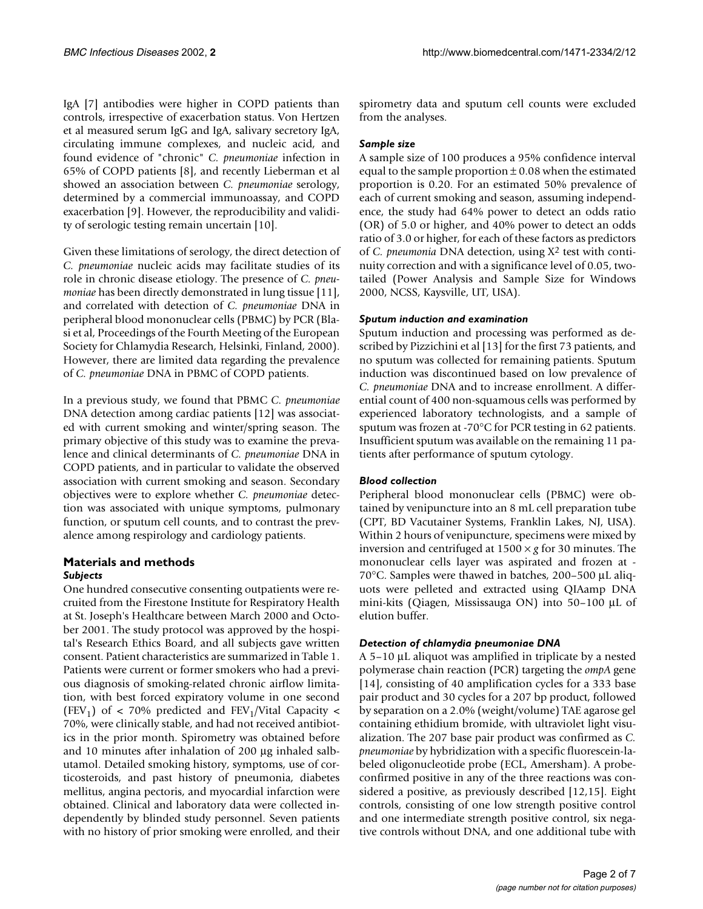IgA [7] antibodies were higher in COPD patients than controls, irrespective of exacerbation status. Von Hertzen et al measured serum IgG and IgA, salivary secretory IgA, circulating immune complexes, and nucleic acid, and found evidence of "chronic" *C. pneumoniae* infection in 65% of COPD patients [8], and recently Lieberman et al showed an association between *C. pneumoniae* serology, determined by a commercial immunoassay, and COPD exacerbation [9]. However, the reproducibility and validity of serologic testing remain uncertain [10].

Given these limitations of serology, the direct detection of *C. pneumoniae* nucleic acids may facilitate studies of its role in chronic disease etiology. The presence of *C. pneumoniae* has been directly demonstrated in lung tissue [11], and correlated with detection of *C. pneumoniae* DNA in peripheral blood mononuclear cells (PBMC) by PCR (Blasi et al, Proceedings of the Fourth Meeting of the European Society for Chlamydia Research, Helsinki, Finland, 2000). However, there are limited data regarding the prevalence of *C. pneumoniae* DNA in PBMC of COPD patients.

In a previous study, we found that PBMC *C. pneumoniae* DNA detection among cardiac patients [12] was associated with current smoking and winter/spring season. The primary objective of this study was to examine the prevalence and clinical determinants of *C. pneumoniae* DNA in COPD patients, and in particular to validate the observed association with current smoking and season. Secondary objectives were to explore whether *C. pneumoniae* detection was associated with unique symptoms, pulmonary function, or sputum cell counts, and to contrast the prevalence among respirology and cardiology patients.

## **Materials and methods** *Subjects*

One hundred consecutive consenting outpatients were recruited from the Firestone Institute for Respiratory Health at St. Joseph's Healthcare between March 2000 and October 2001. The study protocol was approved by the hospital's Research Ethics Board, and all subjects gave written consent. Patient characteristics are summarized in Table [1.](#page-1-0) Patients were current or former smokers who had a previous diagnosis of smoking-related chronic airflow limitation, with best forced expiratory volume in one second (FEV<sub>1</sub>) of < 70% predicted and FEV<sub>1</sub>/Vital Capacity < 70%, were clinically stable, and had not received antibiotics in the prior month. Spirometry was obtained before and 10 minutes after inhalation of 200 µg inhaled salbutamol. Detailed smoking history, symptoms, use of corticosteroids, and past history of pneumonia, diabetes mellitus, angina pectoris, and myocardial infarction were obtained. Clinical and laboratory data were collected independently by blinded study personnel. Seven patients with no history of prior smoking were enrolled, and their spirometry data and sputum cell counts were excluded from the analyses.

## *Sample size*

A sample size of 100 produces a 95% confidence interval equal to the sample proportion  $\pm$  0.08 when the estimated proportion is 0.20. For an estimated 50% prevalence of each of current smoking and season, assuming independence, the study had 64% power to detect an odds ratio (OR) of 5.0 or higher, and 40% power to detect an odds ratio of 3.0 or higher, for each of these factors as predictors of *C. pneumonia* DNA detection, using X2 test with continuity correction and with a significance level of 0.05, twotailed (Power Analysis and Sample Size for Windows 2000, NCSS, Kaysville, UT, USA).

## *Sputum induction and examination*

Sputum induction and processing was performed as described by Pizzichini et al [13] for the first 73 patients, and no sputum was collected for remaining patients. Sputum induction was discontinued based on low prevalence of *C. pneumoniae* DNA and to increase enrollment. A differential count of 400 non-squamous cells was performed by experienced laboratory technologists, and a sample of sputum was frozen at -70°C for PCR testing in 62 patients. Insufficient sputum was available on the remaining 11 patients after performance of sputum cytology.

# *Blood collection*

<span id="page-1-0"></span>Peripheral blood mononuclear cells (PBMC) were obtained by venipuncture into an 8 mL cell preparation tube (CPT, BD Vacutainer Systems, Franklin Lakes, NJ, USA). Within 2 hours of venipuncture, specimens were mixed by inversion and centrifuged at  $1500 \times g$  for 30 minutes. The mononuclear cells layer was aspirated and frozen at - 70°C. Samples were thawed in batches, 200–500 µL aliquots were pelleted and extracted using QIAamp DNA mini-kits (Qiagen, Mississauga ON) into 50–100 µL of elution buffer.

# *Detection of chlamydia pneumoniae DNA*

A 5–10 µL aliquot was amplified in triplicate by a nested polymerase chain reaction (PCR) targeting the *ompA* gene [14], consisting of 40 amplification cycles for a 333 base pair product and 30 cycles for a 207 bp product, followed by separation on a 2.0% (weight/volume) TAE agarose gel containing ethidium bromide, with ultraviolet light visualization. The 207 base pair product was confirmed as *C. pneumoniae* by hybridization with a specific fluorescein-labeled oligonucleotide probe (ECL, Amersham). A probeconfirmed positive in any of the three reactions was considered a positive, as previously described [12,15]. Eight controls, consisting of one low strength positive control and one intermediate strength positive control, six negative controls without DNA, and one additional tube with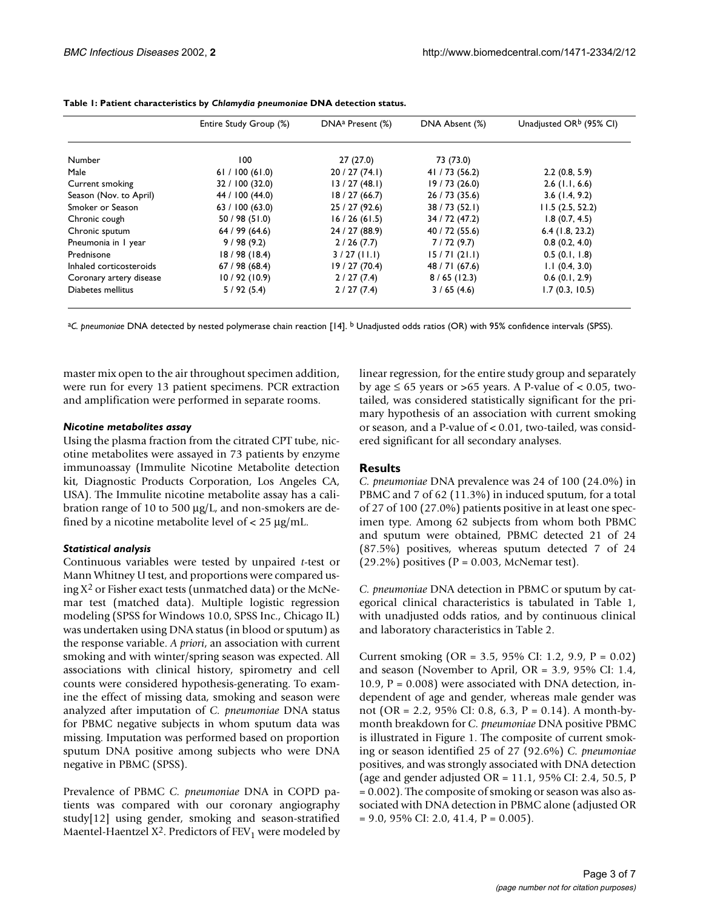|                         | Entire Study Group (%) | DNA <sup>a</sup> Present (%) | DNA Absent (%) | Unadjusted OR <sup>b</sup> (95% CI) |
|-------------------------|------------------------|------------------------------|----------------|-------------------------------------|
| Number                  | 100                    | 27(27.0)                     | 73 (73.0)      |                                     |
| Male                    | 61 / 100 (61.0)        | 20/27(74.1)                  | 41 / 73 (56.2) | 2.2(0.8, 5.9)                       |
| Current smoking         | 32 / 100 (32.0)        | 13/27(48.1)                  | 19/73(26.0)    | $2.6$ (1.1, 6.6)                    |
| Season (Nov. to April)  | 44 / 100 (44.0)        | 18/27(66.7)                  | 26 / 73 (35.6) | $3.6$ (1.4, 9.2)                    |
| Smoker or Season        | 63 / 100 (63.0)        | 25 / 27 (92.6)               | 38 / 73 (52.1) | 11.5(2.5, 52.2)                     |
| Chronic cough           | 50/98(51.0)            | 16/26(61.5)                  | 34 / 72 (47.2) | 1.8(0.7, 4.5)                       |
| Chronic sputum          | 64/99(64.6)            | 24 / 27 (88.9)               | 40 / 72 (55.6) | $6.4$ (1.8, 23.2)                   |
| Pneumonia in 1 year     | 9/98(9.2)              | 2/26(7.7)                    | 7/72(9.7)      | 0.8(0.2, 4.0)                       |
| Prednisone              | 18/98(18.4)            | $3/27$ (11.1)                | 15/71(21.1)    | 0.5(0.1, 1.8)                       |
| Inhaled corticosteroids | 67/98(68.4)            | 19/27(70.4)                  | 48 / 71 (67.6) | 1.1(0.4, 3.0)                       |
| Coronary artery disease | 10/92(10.9)            | 2/27(7.4)                    | 8/65(12.3)     | $0.6$ (0.1, 2.9)                    |
| Diabetes mellitus       | 5/92(5.4)              | 2/27(7.4)                    | 3/65(4.6)      | 1.7(0.3, 10.5)                      |

**Table 1: Patient characteristics by** *Chlamydia pneumoniae* **DNA detection status.**

a*C. pneumoniae* DNA detected by nested polymerase chain reaction [14]. b Unadjusted odds ratios (OR) with 95% confidence intervals (SPSS).

master mix open to the air throughout specimen addition, were run for every 13 patient specimens. PCR extraction and amplification were performed in separate rooms.

## *Nicotine metabolites assay*

Using the plasma fraction from the citrated CPT tube, nicotine metabolites were assayed in 73 patients by enzyme immunoassay (Immulite Nicotine Metabolite detection kit, Diagnostic Products Corporation, Los Angeles CA, USA). The Immulite nicotine metabolite assay has a calibration range of 10 to 500 µg/L, and non-smokers are defined by a nicotine metabolite level of  $<$  25  $\mu$ g/mL.

## *Statistical analysis*

Continuous variables were tested by unpaired *t*-test or Mann Whitney U test, and proportions were compared using  $X^2$  or Fisher exact tests (unmatched data) or the McNemar test (matched data). Multiple logistic regression modeling (SPSS for Windows 10.0, SPSS Inc., Chicago IL) was undertaken using DNA status (in blood or sputum) as the response variable. *A priori*, an association with current smoking and with winter/spring season was expected. All associations with clinical history, spirometry and cell counts were considered hypothesis-generating. To examine the effect of missing data, smoking and season were analyzed after imputation of *C. pneumoniae* DNA status for PBMC negative subjects in whom sputum data was missing. Imputation was performed based on proportion sputum DNA positive among subjects who were DNA negative in PBMC (SPSS).

Prevalence of PBMC *C. pneumoniae* DNA in COPD patients was compared with our coronary angiography study[12] using gender, smoking and season-stratified Maentel-Haentzel  $X^2$ . Predictors of FEV<sub>1</sub> were modeled by linear regression, for the entire study group and separately by age  $\leq 65$  years or >65 years. A P-value of < 0.05, twotailed, was considered statistically significant for the primary hypothesis of an association with current smoking or season, and a P-value of < 0.01, two-tailed, was considered significant for all secondary analyses.

## **Results**

*C. pneumoniae* DNA prevalence was 24 of 100 (24.0%) in PBMC and 7 of 62 (11.3%) in induced sputum, for a total of 27 of 100 (27.0%) patients positive in at least one specimen type. Among 62 subjects from whom both PBMC and sputum were obtained, PBMC detected 21 of 24 (87.5%) positives, whereas sputum detected 7 of 24  $(29.2\%)$  positives (P = 0.003, McNemar test).

*C. pneumoniae* DNA detection in PBMC or sputum by categorical clinical characteristics is tabulated in Table [1,](#page-1-0) with unadjusted odds ratios, and by continuous clinical and laboratory characteristics in Table 2.

Current smoking (OR = 3.5, 95% CI: 1.2, 9.9, P = 0.02) and season (November to April, OR = 3.9, 95% CI: 1.4, 10.9,  $P = 0.008$ ) were associated with DNA detection, independent of age and gender, whereas male gender was not (OR = 2.2, 95% CI: 0.8, 6.3, P = 0.14). A month-bymonth breakdown for *C. pneumoniae* DNA positive PBMC is illustrated in Figure 1. The composite of current smoking or season identified 25 of 27 (92.6%) *C. pneumoniae* positives, and was strongly associated with DNA detection (age and gender adjusted OR = 11.1, 95% CI: 2.4, 50.5, P = 0.002). The composite of smoking or season was also associated with DNA detection in PBMC alone (adjusted OR  $= 9.0, 95\% \text{ CI: } 2.0, 41.4, P = 0.005$ .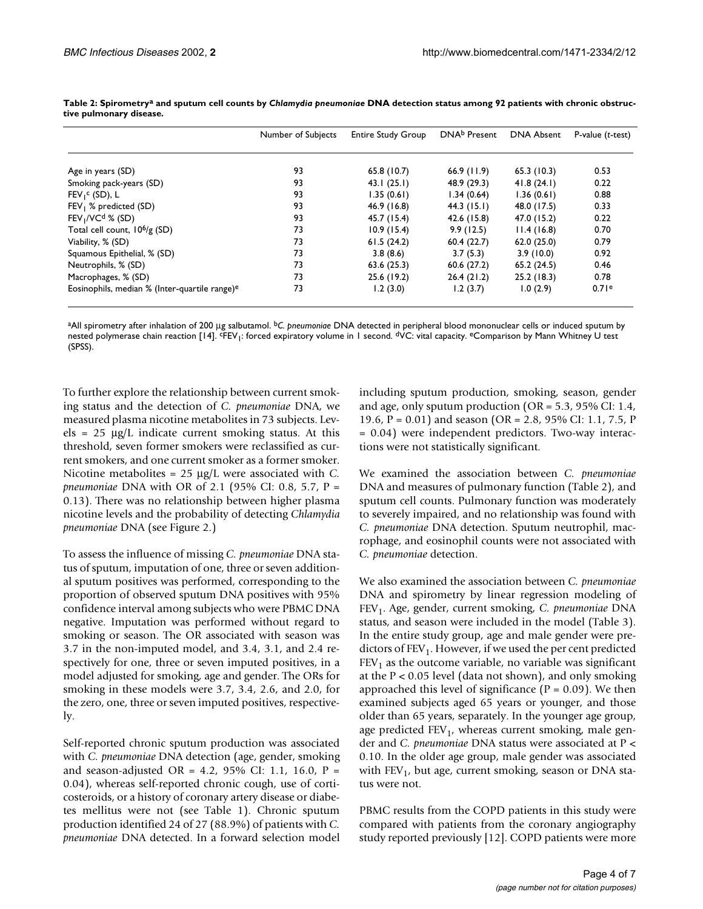|                                                           | Number of Subjects | <b>Entire Study Group</b> | DNA <sup>b</sup> Present | <b>DNA Absent</b> | $P$ -value ( $t$ -test) |
|-----------------------------------------------------------|--------------------|---------------------------|--------------------------|-------------------|-------------------------|
|                                                           |                    |                           |                          |                   |                         |
| Age in years (SD)                                         | 93                 | 65.8(10.7)                | $66.9$ (11.9)            | 65.3(10.3)        | 0.53                    |
| Smoking pack-years (SD)                                   | 93                 | 43.1(25.1)                | 48.9 (29.3)              | 41.8(24.1)        | 0.22                    |
| $FEV_1^c(SD)$ , L                                         | 93                 | 1.35(0.61)                | 1.34(0.64)               | 1.36(0.61)        | 0.88                    |
| FEV <sub>1</sub> % predicted (SD)                         | 93                 | 46.9 (16.8)               | $44.3$ (15.1)            | 48.0 (17.5)       | 0.33                    |
| $FEV1/VCd$ % (SD)                                         | 93                 | 45.7 (15.4)               | 42.6 (15.8)              | 47.0 (15.2)       | 0.22                    |
| Total cell count, $10^6/g$ (SD)                           | 73                 | 10.9(15.4)                | 9.9(12.5)                | 11.4(16.8)        | 0.70                    |
| Viability, % (SD)                                         | 73                 | 61.5(24.2)                | 60.4(22.7)               | 62.0(25.0)        | 0.79                    |
| Squamous Epithelial, % (SD)                               | 73                 | 3.8(8.6)                  | 3.7(5.3)                 | 3.9(10.0)         | 0.92                    |
| Neutrophils, % (SD)                                       | 73                 | 63.6(25.3)                | 60.6(27.2)               | 65.2(24.5)        | 0.46                    |
| Macrophages, % (SD)                                       | 73                 | 25.6 (19.2)               | 26.4(21.2)               | 25.2(18.3)        | 0.78                    |
| Eosinophils, median % (Inter-quartile range) <sup>e</sup> | 73                 | 1.2(3.0)                  | 1.2(3.7)                 | 1.0(2.9)          | 0.71e                   |

**Table 2: Spirometrya and sputum cell counts by** *Chlamydia pneumoniae* **DNA detection status among 92 patients with chronic obstructive pulmonary disease.**

aAll spirometry after inhalation of 200 µg salbutamol. b*C. pneumoniae* DNA detected in peripheral blood mononuclear cells or induced sputum by nested polymerase chain reaction [14]. <sup>c</sup>FEV<sub>1</sub>: forced expiratory volume in 1 second. <sup>d</sup>VC: vital capacity. <sup>e</sup>Comparison by Mann Whitney U test (SPSS).

To further explore the relationship between current smoking status and the detection of *C. pneumoniae* DNA, we measured plasma nicotine metabolites in 73 subjects. Levels =  $25 \mu g/L$  indicate current smoking status. At this threshold, seven former smokers were reclassified as current smokers, and one current smoker as a former smoker. Nicotine metabolites = 25 µg/L were associated with *C. pneumoniae* DNA with OR of 2.1 (95% CI: 0.8, 5.7, P = 0.13). There was no relationship between higher plasma nicotine levels and the probability of detecting *Chlamydia pneumoniae* DNA (see Figure 2.)

To assess the influence of missing *C. pneumoniae* DNA status of sputum, imputation of one, three or seven additional sputum positives was performed, corresponding to the proportion of observed sputum DNA positives with 95% confidence interval among subjects who were PBMC DNA negative. Imputation was performed without regard to smoking or season. The OR associated with season was 3.7 in the non-imputed model, and 3.4, 3.1, and 2.4 respectively for one, three or seven imputed positives, in a model adjusted for smoking, age and gender. The ORs for smoking in these models were 3.7, 3.4, 2.6, and 2.0, for the zero, one, three or seven imputed positives, respectively.

Self-reported chronic sputum production was associated with *C. pneumoniae* DNA detection (age, gender, smoking and season-adjusted OR = 4.2, 95% CI: 1.1, 16.0,  $P =$ 0.04), whereas self-reported chronic cough, use of corticosteroids, or a history of coronary artery disease or diabetes mellitus were not (see Table [1](#page-1-0)). Chronic sputum production identified 24 of 27 (88.9%) of patients with *C. pneumoniae* DNA detected. In a forward selection model including sputum production, smoking, season, gender and age, only sputum production (OR = 5.3, 95% CI: 1.4, 19.6, P = 0.01) and season (OR = 2.8, 95% CI: 1.1, 7.5, P = 0.04) were independent predictors. Two-way interactions were not statistically significant.

We examined the association between *C. pneumoniae* DNA and measures of pulmonary function (Table 2), and sputum cell counts. Pulmonary function was moderately to severely impaired, and no relationship was found with *C. pneumoniae* DNA detection. Sputum neutrophil, macrophage, and eosinophil counts were not associated with *C. pneumoniae* detection.

We also examined the association between *C. pneumoniae* DNA and spirometry by linear regression modeling of FEV1. Age, gender, current smoking, *C. pneumoniae* DNA status, and season were included in the model (Table 3). In the entire study group, age and male gender were predictors of  $FEV<sub>1</sub>$ . However, if we used the per cent predicted  $FEV<sub>1</sub>$  as the outcome variable, no variable was significant at the P < 0.05 level (data not shown), and only smoking approached this level of significance  $(P = 0.09)$ . We then examined subjects aged 65 years or younger, and those older than 65 years, separately. In the younger age group, age predicted  $FEV_1$ , whereas current smoking, male gender and *C. pneumoniae* DNA status were associated at P < 0.10. In the older age group, male gender was associated with  $FEV<sub>1</sub>$ , but age, current smoking, season or DNA status were not.

PBMC results from the COPD patients in this study were compared with patients from the coronary angiography study reported previously [12]. COPD patients were more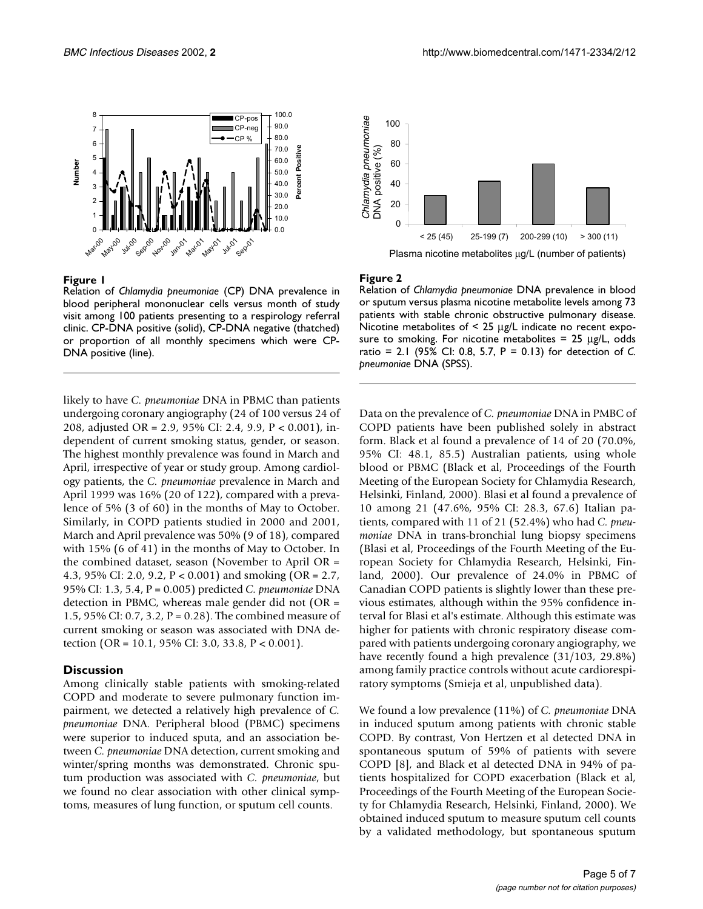

#### **Figure 1**

Relation of *Chlamydia pneumoniae* (CP) DNA prevalence in blood peripheral mononuclear cells versus month of study visit among 100 patients presenting to a respirology referral clinic. CP-DNA positive (solid), CP-DNA negative (thatched) or proportion of all monthly specimens which were CP-DNA positive (line).

likely to have *C. pneumoniae* DNA in PBMC than patients undergoing coronary angiography (24 of 100 versus 24 of 208, adjusted OR = 2.9, 95% CI: 2.4, 9.9, P < 0.001), independent of current smoking status, gender, or season. The highest monthly prevalence was found in March and April, irrespective of year or study group. Among cardiology patients, the *C. pneumoniae* prevalence in March and April 1999 was 16% (20 of 122), compared with a prevalence of 5% (3 of 60) in the months of May to October. Similarly, in COPD patients studied in 2000 and 2001, March and April prevalence was 50% (9 of 18), compared with 15% (6 of 41) in the months of May to October. In the combined dataset, season (November to April OR = 4.3, 95% CI: 2.0, 9.2, P < 0.001) and smoking (OR = 2.7, 95% CI: 1.3, 5.4, P = 0.005) predicted *C. pneumoniae* DNA detection in PBMC, whereas male gender did not (OR = 1.5, 95% CI: 0.7, 3.2, P = 0.28). The combined measure of current smoking or season was associated with DNA detection (OR = 10.1, 95% CI: 3.0, 33.8, P < 0.001).

#### **Discussion**

Among clinically stable patients with smoking-related COPD and moderate to severe pulmonary function impairment, we detected a relatively high prevalence of *C. pneumoniae* DNA. Peripheral blood (PBMC) specimens were superior to induced sputa, and an association between *C. pneumoniae* DNA detection, current smoking and winter/spring months was demonstrated. Chronic sputum production was associated with *C. pneumoniae*, but we found no clear association with other clinical symptoms, measures of lung function, or sputum cell counts.



#### **Figure 2**

Relation of *Chlamydia pneumoniae* DNA prevalence in blood or sputum versus plasma nicotine metabolite levels among 73 patients with stable chronic obstructive pulmonary disease. Nicotine metabolites of < 25 µg/L indicate no recent exposure to smoking. For nicotine metabolites  $= 25 \mu g/L$ , odds ratio = 2.1 (95% CI: 0.8, 5.7, P = 0.13) for detection of *C. pneumoniae* DNA (SPSS).

Data on the prevalence of *C. pneumoniae* DNA in PMBC of COPD patients have been published solely in abstract form. Black et al found a prevalence of 14 of 20 (70.0%, 95% CI: 48.1, 85.5) Australian patients, using whole blood or PBMC (Black et al, Proceedings of the Fourth Meeting of the European Society for Chlamydia Research, Helsinki, Finland, 2000). Blasi et al found a prevalence of 10 among 21 (47.6%, 95% CI: 28.3, 67.6) Italian patients, compared with 11 of 21 (52.4%) who had *C. pneumoniae* DNA in trans-bronchial lung biopsy specimens (Blasi et al, Proceedings of the Fourth Meeting of the European Society for Chlamydia Research, Helsinki, Finland, 2000). Our prevalence of 24.0% in PBMC of Canadian COPD patients is slightly lower than these previous estimates, although within the 95% confidence interval for Blasi et al's estimate. Although this estimate was higher for patients with chronic respiratory disease compared with patients undergoing coronary angiography, we have recently found a high prevalence (31/103, 29.8%) among family practice controls without acute cardiorespiratory symptoms (Smieja et al, unpublished data).

We found a low prevalence (11%) of *C. pneumoniae* DNA in induced sputum among patients with chronic stable COPD. By contrast, Von Hertzen et al detected DNA in spontaneous sputum of 59% of patients with severe COPD [8], and Black et al detected DNA in 94% of patients hospitalized for COPD exacerbation (Black et al, Proceedings of the Fourth Meeting of the European Society for Chlamydia Research, Helsinki, Finland, 2000). We obtained induced sputum to measure sputum cell counts by a validated methodology, but spontaneous sputum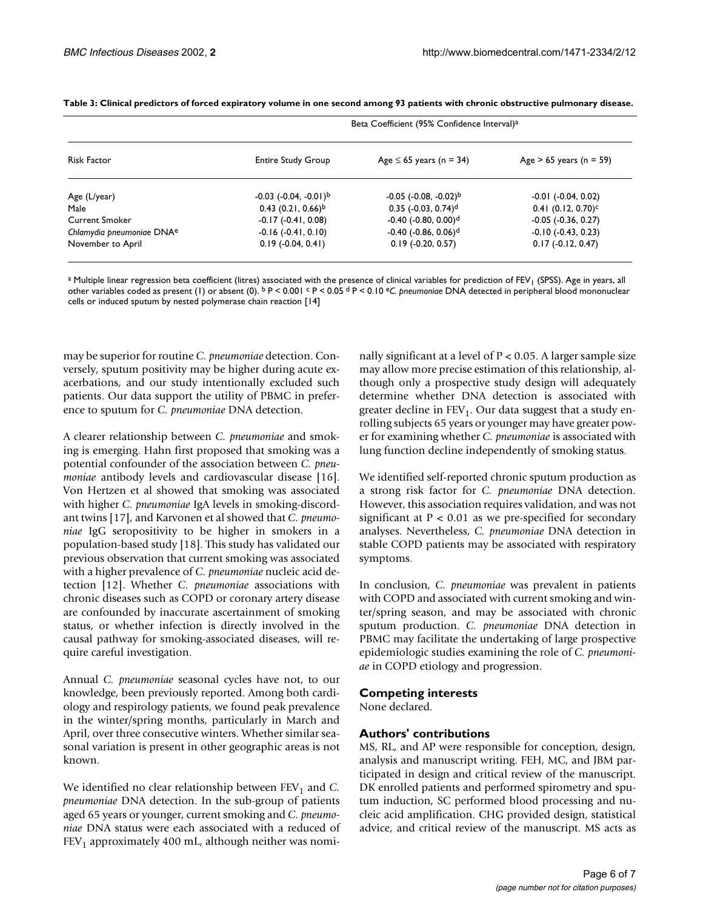| <b>Risk Factor</b>                    | Beta Coefficient (95% Confidence Interval) <sup>a</sup> |                                            |                                  |  |  |
|---------------------------------------|---------------------------------------------------------|--------------------------------------------|----------------------------------|--|--|
|                                       | <b>Entire Study Group</b>                               | Age $\leq$ 65 years (n = 34)               | Age $> 65$ years (n = 59)        |  |  |
| Age (L/year)                          | $-0.03$ $(-0.04, -0.01)^{b}$                            | $-0.05$ ( $-0.08$ , $-0.02$ ) <sup>b</sup> | $-0.01$ ( $-0.04$ , $0.02$ )     |  |  |
| Male                                  | $0.43(0.21, 0.66)^b$                                    | $0.35$ (-0.03, 0.74) <sup>d</sup>          | $0.41$ (0.12, 0.70) <sup>c</sup> |  |  |
| <b>Current Smoker</b>                 | $-0.17(-0.41, 0.08)$                                    | $-0.40$ ( $-0.80$ , $0.00$ ) <sup>d</sup>  | $-0.05$ $(-0.36, 0.27)$          |  |  |
| Chlamydia pneumoniae DNA <sup>e</sup> | $-0.16$ $(-0.41, 0.10)$                                 | $-0.40$ ( $-0.86$ , $0.06$ ) <sup>d</sup>  | $-0.10$ $(-0.43, 0.23)$          |  |  |
| November to April                     | $0.19$ ( $-0.04$ , $0.41$ )                             | $0.19$ (-0.20, 0.57)                       | $0.17(-0.12, 0.47)$              |  |  |

**Table 3: Clinical predictors of forced expiratory volume in one second among 93 patients with chronic obstructive pulmonary disease.**

a Multiple linear regression beta coefficient (litres) associated with the presence of clinical variables for prediction of FEV<sub>1</sub> (SPSS). Age in years, all other variables coded as present (1) or absent (0). b P < 0.001 c P < 0.05 d P < 0.10 e*C. pneumoniae* DNA detected in peripheral blood mononuclear cells or induced sputum by nested polymerase chain reaction [14]

may be superior for routine *C. pneumoniae* detection. Conversely, sputum positivity may be higher during acute exacerbations, and our study intentionally excluded such patients. Our data support the utility of PBMC in preference to sputum for *C. pneumoniae* DNA detection.

A clearer relationship between *C. pneumoniae* and smoking is emerging. Hahn first proposed that smoking was a potential confounder of the association between *C. pneumoniae* antibody levels and cardiovascular disease [16]. Von Hertzen et al showed that smoking was associated with higher *C. pneumoniae* IgA levels in smoking-discordant twins [17], and Karvonen et al showed that *C. pneumoniae* IgG seropositivity to be higher in smokers in a population-based study [18]. This study has validated our previous observation that current smoking was associated with a higher prevalence of *C. pneumoniae* nucleic acid detection [12]. Whether *C. pneumoniae* associations with chronic diseases such as COPD or coronary artery disease are confounded by inaccurate ascertainment of smoking status, or whether infection is directly involved in the causal pathway for smoking-associated diseases, will require careful investigation.

Annual *C. pneumoniae* seasonal cycles have not, to our knowledge, been previously reported. Among both cardiology and respirology patients, we found peak prevalence in the winter/spring months, particularly in March and April, over three consecutive winters. Whether similar seasonal variation is present in other geographic areas is not known.

We identified no clear relationship between FEV<sub>1</sub> and *C*. *pneumoniae* DNA detection. In the sub-group of patients aged 65 years or younger, current smoking and *C. pneumoniae* DNA status were each associated with a reduced of  $FEV<sub>1</sub>$  approximately 400 mL, although neither was nomi-

nally significant at a level of P < 0.05. A larger sample size may allow more precise estimation of this relationship, although only a prospective study design will adequately determine whether DNA detection is associated with greater decline in  $FEV<sub>1</sub>$ . Our data suggest that a study enrolling subjects 65 years or younger may have greater power for examining whether *C. pneumoniae* is associated with lung function decline independently of smoking status.

We identified self-reported chronic sputum production as a strong risk factor for *C. pneumoniae* DNA detection. However, this association requires validation, and was not significant at  $P < 0.01$  as we pre-specified for secondary analyses. Nevertheless, *C. pneumoniae* DNA detection in stable COPD patients may be associated with respiratory symptoms.

In conclusion, *C. pneumoniae* was prevalent in patients with COPD and associated with current smoking and winter/spring season, and may be associated with chronic sputum production. *C. pneumoniae* DNA detection in PBMC may facilitate the undertaking of large prospective epidemiologic studies examining the role of *C. pneumoniae* in COPD etiology and progression.

#### **Competing interests**

None declared.

#### **Authors' contributions**

MS, RL, and AP were responsible for conception, design, analysis and manuscript writing. FEH, MC, and JBM participated in design and critical review of the manuscript. DK enrolled patients and performed spirometry and sputum induction, SC performed blood processing and nucleic acid amplification. CHG provided design, statistical advice, and critical review of the manuscript. MS acts as